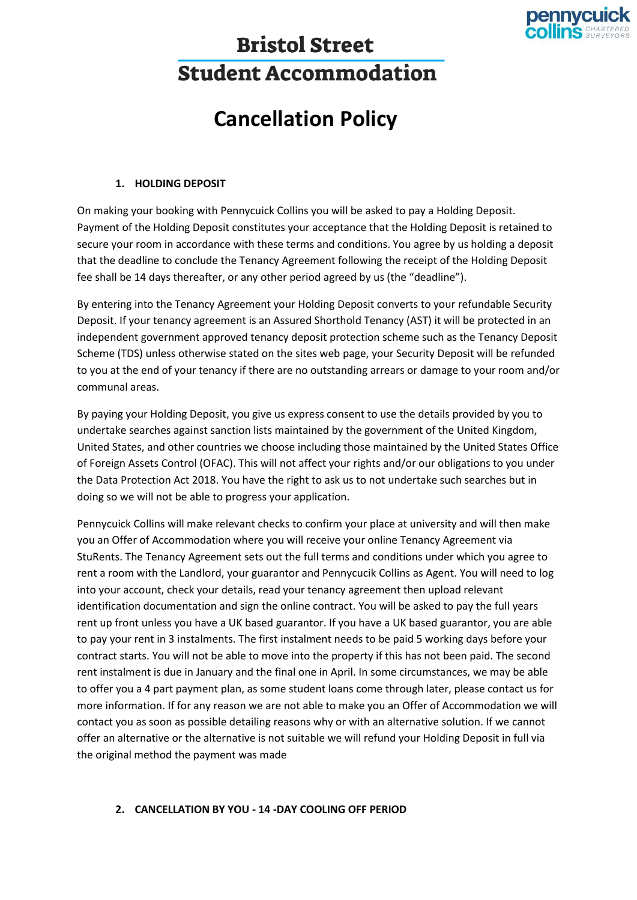

# **Bristol Street Student Accommodation**

## **Cancellation Policy**

#### **1. HOLDING DEPOSIT**

On making your booking with Pennycuick Collins you will be asked to pay a Holding Deposit. Payment of the Holding Deposit constitutes your acceptance that the Holding Deposit is retained to secure your room in accordance with these terms and conditions. You agree by us holding a deposit that the deadline to conclude the Tenancy Agreement following the receipt of the Holding Deposit fee shall be 14 days thereafter, or any other period agreed by us (the "deadline").

By entering into the Tenancy Agreement your Holding Deposit converts to your refundable Security Deposit. If your tenancy agreement is an Assured Shorthold Tenancy (AST) it will be protected in an independent government approved tenancy deposit protection scheme such as the Tenancy Deposit Scheme (TDS) unless otherwise stated on the sites web page, your Security Deposit will be refunded to you at the end of your tenancy if there are no outstanding arrears or damage to your room and/or communal areas.

By paying your Holding Deposit, you give us express consent to use the details provided by you to undertake searches against sanction lists maintained by the government of the United Kingdom, United States, and other countries we choose including those maintained by the United States Office of Foreign Assets Control (OFAC). This will not affect your rights and/or our obligations to you under the Data Protection Act 2018. You have the right to ask us to not undertake such searches but in doing so we will not be able to progress your application.

Pennycuick Collins will make relevant checks to confirm your place at university and will then make you an Offer of Accommodation where you will receive your online Tenancy Agreement via StuRents. The Tenancy Agreement sets out the full terms and conditions under which you agree to rent a room with the Landlord, your guarantor and Pennycucik Collins as Agent. You will need to log into your account, check your details, read your tenancy agreement then upload relevant identification documentation and sign the online contract. You will be asked to pay the full years rent up front unless you have a UK based guarantor. If you have a UK based guarantor, you are able to pay your rent in 3 instalments. The first instalment needs to be paid 5 working days before your contract starts. You will not be able to move into the property if this has not been paid. The second rent instalment is due in January and the final one in April. In some circumstances, we may be able to offer you a 4 part payment plan, as some student loans come through later, please contact us for more information. If for any reason we are not able to make you an Offer of Accommodation we will contact you as soon as possible detailing reasons why or with an alternative solution. If we cannot offer an alternative or the alternative is not suitable we will refund your Holding Deposit in full via the original method the payment was made

#### **2. CANCELLATION BY YOU - 14 -DAY COOLING OFF PERIOD**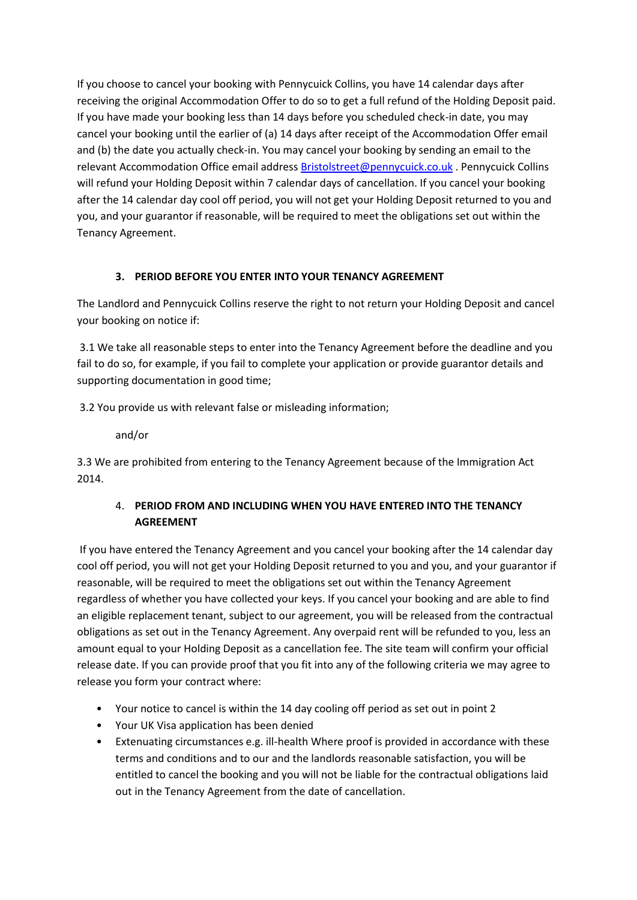If you choose to cancel your booking with Pennycuick Collins, you have 14 calendar days after receiving the original Accommodation Offer to do so to get a full refund of the Holding Deposit paid. If you have made your booking less than 14 days before you scheduled check-in date, you may cancel your booking until the earlier of (a) 14 days after receipt of the Accommodation Offer email and (b) the date you actually check-in. You may cancel your booking by sending an email to the relevant Accommodation Office email address [Bristolstreet@pennycuick.co.uk](mailto:Bristolstreet@pennycuick.co.uk) . Pennycuick Collins will refund your Holding Deposit within 7 calendar days of cancellation. If you cancel your booking after the 14 calendar day cool off period, you will not get your Holding Deposit returned to you and you, and your guarantor if reasonable, will be required to meet the obligations set out within the Tenancy Agreement.

### **3. PERIOD BEFORE YOU ENTER INTO YOUR TENANCY AGREEMENT**

The Landlord and Pennycuick Collins reserve the right to not return your Holding Deposit and cancel your booking on notice if:

3.1 We take all reasonable steps to enter into the Tenancy Agreement before the deadline and you fail to do so, for example, if you fail to complete your application or provide guarantor details and supporting documentation in good time;

3.2 You provide us with relevant false or misleading information;

and/or

3.3 We are prohibited from entering to the Tenancy Agreement because of the Immigration Act 2014.

## 4. **PERIOD FROM AND INCLUDING WHEN YOU HAVE ENTERED INTO THE TENANCY AGREEMENT**

If you have entered the Tenancy Agreement and you cancel your booking after the 14 calendar day cool off period, you will not get your Holding Deposit returned to you and you, and your guarantor if reasonable, will be required to meet the obligations set out within the Tenancy Agreement regardless of whether you have collected your keys. If you cancel your booking and are able to find an eligible replacement tenant, subject to our agreement, you will be released from the contractual obligations as set out in the Tenancy Agreement. Any overpaid rent will be refunded to you, less an amount equal to your Holding Deposit as a cancellation fee. The site team will confirm your official release date. If you can provide proof that you fit into any of the following criteria we may agree to release you form your contract where:

- Your notice to cancel is within the 14 day cooling off period as set out in point 2
- Your UK Visa application has been denied
- Extenuating circumstances e.g. ill-health Where proof is provided in accordance with these terms and conditions and to our and the landlords reasonable satisfaction, you will be entitled to cancel the booking and you will not be liable for the contractual obligations laid out in the Tenancy Agreement from the date of cancellation.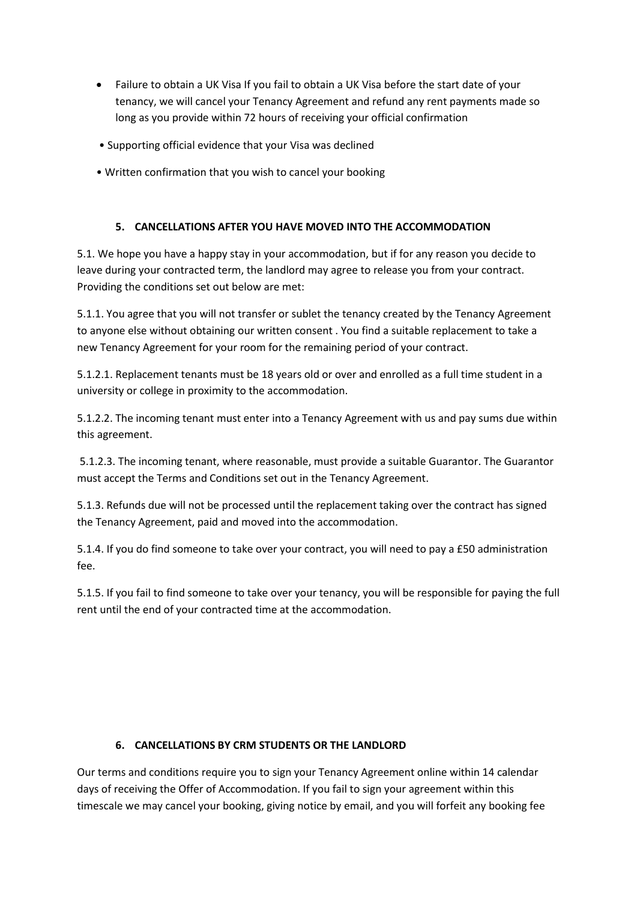- Failure to obtain a UK Visa If you fail to obtain a UK Visa before the start date of your tenancy, we will cancel your Tenancy Agreement and refund any rent payments made so long as you provide within 72 hours of receiving your official confirmation
- Supporting official evidence that your Visa was declined
- Written confirmation that you wish to cancel your booking

#### **5. CANCELLATIONS AFTER YOU HAVE MOVED INTO THE ACCOMMODATION**

5.1. We hope you have a happy stay in your accommodation, but if for any reason you decide to leave during your contracted term, the landlord may agree to release you from your contract. Providing the conditions set out below are met:

5.1.1. You agree that you will not transfer or sublet the tenancy created by the Tenancy Agreement to anyone else without obtaining our written consent . You find a suitable replacement to take a new Tenancy Agreement for your room for the remaining period of your contract.

5.1.2.1. Replacement tenants must be 18 years old or over and enrolled as a full time student in a university or college in proximity to the accommodation.

5.1.2.2. The incoming tenant must enter into a Tenancy Agreement with us and pay sums due within this agreement.

5.1.2.3. The incoming tenant, where reasonable, must provide a suitable Guarantor. The Guarantor must accept the Terms and Conditions set out in the Tenancy Agreement.

5.1.3. Refunds due will not be processed until the replacement taking over the contract has signed the Tenancy Agreement, paid and moved into the accommodation.

5.1.4. If you do find someone to take over your contract, you will need to pay a £50 administration fee.

5.1.5. If you fail to find someone to take over your tenancy, you will be responsible for paying the full rent until the end of your contracted time at the accommodation.

#### **6. CANCELLATIONS BY CRM STUDENTS OR THE LANDLORD**

Our terms and conditions require you to sign your Tenancy Agreement online within 14 calendar days of receiving the Offer of Accommodation. If you fail to sign your agreement within this timescale we may cancel your booking, giving notice by email, and you will forfeit any booking fee